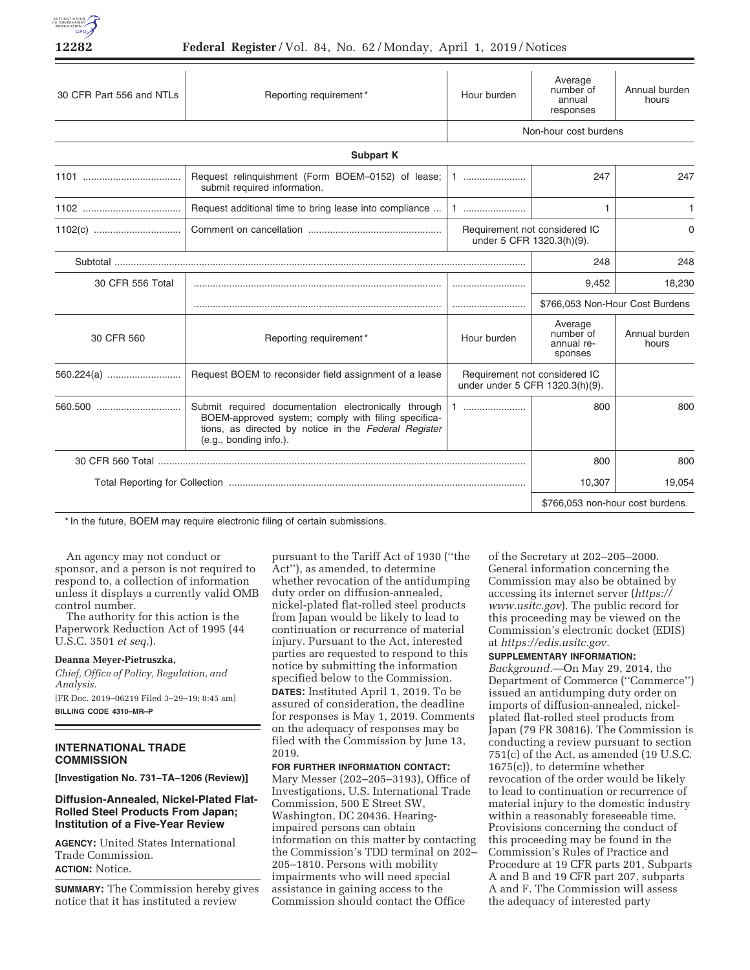

| 30 CFR Part 556 and NTLs | Reporting requirement*                                                                                                                                                                        | Hour burden                                                      | Average<br>number of<br>annual<br>responses   | Annual burden<br>hours |
|--------------------------|-----------------------------------------------------------------------------------------------------------------------------------------------------------------------------------------------|------------------------------------------------------------------|-----------------------------------------------|------------------------|
|                          |                                                                                                                                                                                               | Non-hour cost burdens                                            |                                               |                        |
|                          | <b>Subpart K</b>                                                                                                                                                                              |                                                                  |                                               |                        |
|                          | Request relinquishment (Form BOEM-0152) of lease;<br>submit required information.                                                                                                             | 1                                                                | 247                                           | 247                    |
|                          | Request additional time to bring lease into compliance                                                                                                                                        | $1$                                                              | 1                                             | 1.                     |
|                          |                                                                                                                                                                                               | Requirement not considered IC<br>under 5 CFR 1320.3(h)(9).       |                                               | $\Omega$               |
| Subtotal                 |                                                                                                                                                                                               |                                                                  | 248                                           | 248                    |
| 30 CFR 556 Total         |                                                                                                                                                                                               |                                                                  | 9,452                                         | 18,230                 |
|                          |                                                                                                                                                                                               |                                                                  | \$766,053 Non-Hour Cost Burdens               |                        |
| 30 CFR 560               | Reporting requirement*                                                                                                                                                                        | Hour burden                                                      | Average<br>number of<br>annual re-<br>sponses | Annual burden<br>hours |
| 560.224(a)               | Request BOEM to reconsider field assignment of a lease                                                                                                                                        | Requirement not considered IC<br>under under 5 CFR 1320.3(h)(9). |                                               |                        |
|                          | Submit required documentation electronically through<br>BOEM-approved system; comply with filing specifica-<br>tions, as directed by notice in the Federal Register<br>(e.g., bonding info.). |                                                                  | 800                                           | 800                    |
|                          |                                                                                                                                                                                               |                                                                  | 800                                           | 800                    |
|                          |                                                                                                                                                                                               |                                                                  | 10,307                                        | 19,054                 |
|                          |                                                                                                                                                                                               |                                                                  | \$766,053 non-hour cost burdens.              |                        |

\* In the future, BOEM may require electronic filing of certain submissions.

An agency may not conduct or sponsor, and a person is not required to respond to, a collection of information unless it displays a currently valid OMB control number.

The authority for this action is the Paperwork Reduction Act of 1995 (44 U.S.C. 3501 *et seq.*).

## **Deanna Meyer-Pietruszka,**

*Chief, Office of Policy, Regulation, and Analysis.*  [FR Doc. 2019–06219 Filed 3–29–19; 8:45 am] **BILLING CODE 4310–MR–P** 

# **INTERNATIONAL TRADE COMMISSION**

**[Investigation No. 731–TA–1206 (Review)]** 

# **Diffusion-Annealed, Nickel-Plated Flat-Rolled Steel Products From Japan; Institution of a Five-Year Review**

**AGENCY:** United States International Trade Commission. **ACTION:** Notice.

**SUMMARY:** The Commission hereby gives notice that it has instituted a review

pursuant to the Tariff Act of 1930 (''the Act''), as amended, to determine whether revocation of the antidumping duty order on diffusion-annealed, nickel-plated flat-rolled steel products from Japan would be likely to lead to continuation or recurrence of material injury. Pursuant to the Act, interested parties are requested to respond to this notice by submitting the information specified below to the Commission. **DATES:** Instituted April 1, 2019. To be assured of consideration, the deadline for responses is May 1, 2019. Comments on the adequacy of responses may be filed with the Commission by June 13, 2019.

**FOR FURTHER INFORMATION CONTACT:**  Mary Messer (202–205–3193), Office of Investigations, U.S. International Trade Commission, 500 E Street SW, Washington, DC 20436. Hearingimpaired persons can obtain information on this matter by contacting the Commission's TDD terminal on 202– 205–1810. Persons with mobility impairments who will need special assistance in gaining access to the Commission should contact the Office

of the Secretary at 202–205–2000. General information concerning the Commission may also be obtained by accessing its internet server (*https:// www.usitc.gov*). The public record for this proceeding may be viewed on the Commission's electronic docket (EDIS) at *https://edis.usitc.gov.* 

## **SUPPLEMENTARY INFORMATION:**

*Background.*—On May 29, 2014, the Department of Commerce (''Commerce'') issued an antidumping duty order on imports of diffusion-annealed, nickelplated flat-rolled steel products from Japan (79 FR 30816). The Commission is conducting a review pursuant to section 751(c) of the Act, as amended (19 U.S.C. 1675(c)), to determine whether revocation of the order would be likely to lead to continuation or recurrence of material injury to the domestic industry within a reasonably foreseeable time. Provisions concerning the conduct of this proceeding may be found in the Commission's Rules of Practice and Procedure at 19 CFR parts 201, Subparts A and B and 19 CFR part 207, subparts A and F. The Commission will assess the adequacy of interested party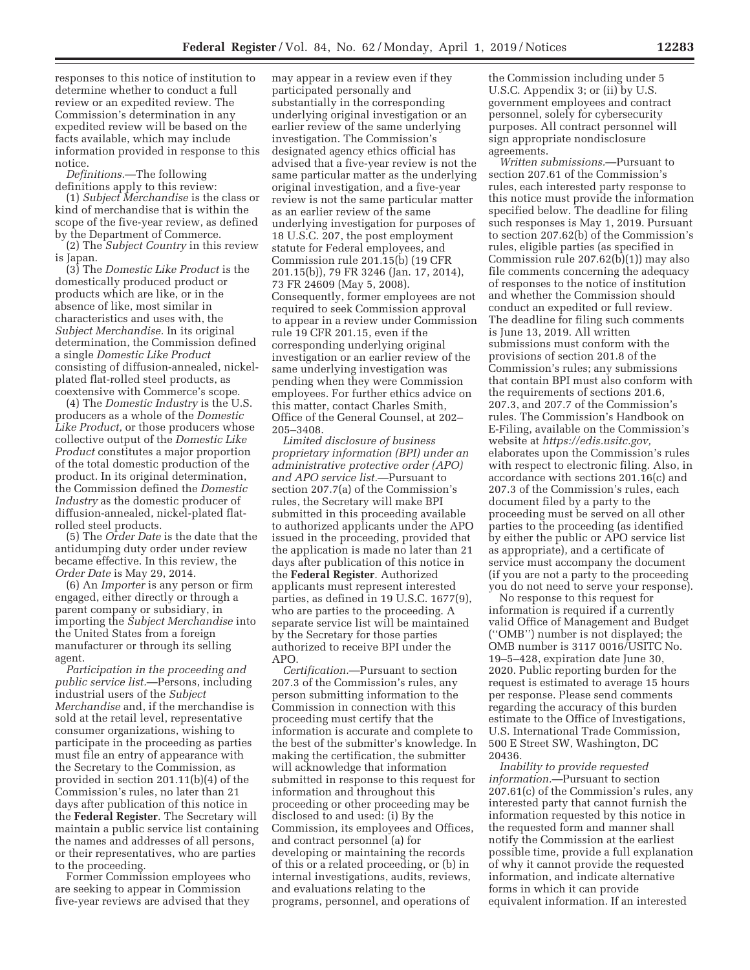responses to this notice of institution to determine whether to conduct a full review or an expedited review. The Commission's determination in any expedited review will be based on the facts available, which may include information provided in response to this notice.

*Definitions.*—The following definitions apply to this review:

(1) *Subject Merchandise* is the class or kind of merchandise that is within the scope of the five-year review, as defined by the Department of Commerce.

(2) The *Subject Country* in this review is Japan.

(3) The *Domestic Like Product* is the domestically produced product or products which are like, or in the absence of like, most similar in characteristics and uses with, the *Subject Merchandise.* In its original determination, the Commission defined a single *Domestic Like Product*  consisting of diffusion-annealed, nickelplated flat-rolled steel products, as coextensive with Commerce's scope.

(4) The *Domestic Industry* is the U.S. producers as a whole of the *Domestic Like Product,* or those producers whose collective output of the *Domestic Like Product* constitutes a major proportion of the total domestic production of the product. In its original determination, the Commission defined the *Domestic Industry* as the domestic producer of diffusion-annealed, nickel-plated flatrolled steel products.

(5) The *Order Date* is the date that the antidumping duty order under review became effective. In this review, the *Order Date* is May 29, 2014.

(6) An *Importer* is any person or firm engaged, either directly or through a parent company or subsidiary, in importing the *Subject Merchandise* into the United States from a foreign manufacturer or through its selling agent.

*Participation in the proceeding and public service list.*—Persons, including industrial users of the *Subject Merchandise* and, if the merchandise is sold at the retail level, representative consumer organizations, wishing to participate in the proceeding as parties must file an entry of appearance with the Secretary to the Commission, as provided in section 201.11(b)(4) of the Commission's rules, no later than 21 days after publication of this notice in the **Federal Register**. The Secretary will maintain a public service list containing the names and addresses of all persons, or their representatives, who are parties to the proceeding.

Former Commission employees who are seeking to appear in Commission five-year reviews are advised that they

may appear in a review even if they participated personally and substantially in the corresponding underlying original investigation or an earlier review of the same underlying investigation. The Commission's designated agency ethics official has advised that a five-year review is not the same particular matter as the underlying original investigation, and a five-year review is not the same particular matter as an earlier review of the same underlying investigation for purposes of 18 U.S.C. 207, the post employment statute for Federal employees, and Commission rule 201.15(b) (19 CFR 201.15(b)), 79 FR 3246 (Jan. 17, 2014), 73 FR 24609 (May 5, 2008). Consequently, former employees are not required to seek Commission approval to appear in a review under Commission rule 19 CFR 201.15, even if the corresponding underlying original investigation or an earlier review of the same underlying investigation was pending when they were Commission employees. For further ethics advice on this matter, contact Charles Smith, Office of the General Counsel, at 202– 205–3408.

*Limited disclosure of business proprietary information (BPI) under an administrative protective order (APO) and APO service list.*—Pursuant to section 207.7(a) of the Commission's rules, the Secretary will make BPI submitted in this proceeding available to authorized applicants under the APO issued in the proceeding, provided that the application is made no later than 21 days after publication of this notice in the **Federal Register**. Authorized applicants must represent interested parties, as defined in 19 U.S.C. 1677(9), who are parties to the proceeding. A separate service list will be maintained by the Secretary for those parties authorized to receive BPI under the APO.

*Certification.*—Pursuant to section 207.3 of the Commission's rules, any person submitting information to the Commission in connection with this proceeding must certify that the information is accurate and complete to the best of the submitter's knowledge. In making the certification, the submitter will acknowledge that information submitted in response to this request for information and throughout this proceeding or other proceeding may be disclosed to and used: (i) By the Commission, its employees and Offices, and contract personnel (a) for developing or maintaining the records of this or a related proceeding, or (b) in internal investigations, audits, reviews, and evaluations relating to the programs, personnel, and operations of

the Commission including under 5 U.S.C. Appendix 3; or (ii) by U.S. government employees and contract personnel, solely for cybersecurity purposes. All contract personnel will sign appropriate nondisclosure agreements.

*Written submissions.*—Pursuant to section 207.61 of the Commission's rules, each interested party response to this notice must provide the information specified below. The deadline for filing such responses is May 1, 2019. Pursuant to section 207.62(b) of the Commission's rules, eligible parties (as specified in Commission rule 207.62(b)(1)) may also file comments concerning the adequacy of responses to the notice of institution and whether the Commission should conduct an expedited or full review. The deadline for filing such comments is June 13, 2019. All written submissions must conform with the provisions of section 201.8 of the Commission's rules; any submissions that contain BPI must also conform with the requirements of sections 201.6, 207.3, and 207.7 of the Commission's rules. The Commission's Handbook on E-Filing, available on the Commission's website at *https://edis.usitc.gov,*  elaborates upon the Commission's rules with respect to electronic filing. Also, in accordance with sections 201.16(c) and 207.3 of the Commission's rules, each document filed by a party to the proceeding must be served on all other parties to the proceeding (as identified by either the public or APO service list as appropriate), and a certificate of service must accompany the document (if you are not a party to the proceeding you do not need to serve your response).

No response to this request for information is required if a currently valid Office of Management and Budget (''OMB'') number is not displayed; the OMB number is 3117 0016/USITC No. 19–5–428, expiration date June 30, 2020. Public reporting burden for the request is estimated to average 15 hours per response. Please send comments regarding the accuracy of this burden estimate to the Office of Investigations, U.S. International Trade Commission, 500 E Street SW, Washington, DC 20436.

*Inability to provide requested information.*—Pursuant to section 207.61(c) of the Commission's rules, any interested party that cannot furnish the information requested by this notice in the requested form and manner shall notify the Commission at the earliest possible time, provide a full explanation of why it cannot provide the requested information, and indicate alternative forms in which it can provide equivalent information. If an interested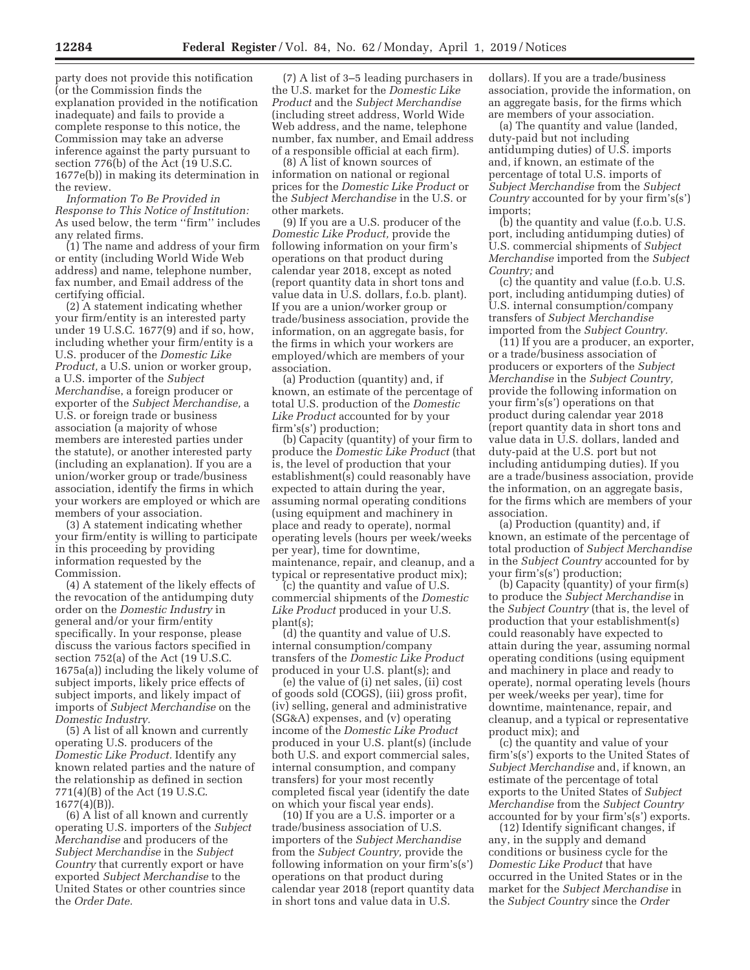party does not provide this notification (or the Commission finds the explanation provided in the notification inadequate) and fails to provide a complete response to this notice, the Commission may take an adverse inference against the party pursuant to section 776(b) of the Act (19 U.S.C. 1677e(b)) in making its determination in the review.

*Information To Be Provided in Response to This Notice of Institution:*  As used below, the term ''firm'' includes any related firms.

(1) The name and address of your firm or entity (including World Wide Web address) and name, telephone number, fax number, and Email address of the certifying official.

(2) A statement indicating whether your firm/entity is an interested party under 19 U.S.C. 1677(9) and if so, how, including whether your firm/entity is a U.S. producer of the *Domestic Like Product,* a U.S. union or worker group, a U.S. importer of the *Subject Merchandi*se, a foreign producer or exporter of the *Subject Merchandise,* a U.S. or foreign trade or business association (a majority of whose members are interested parties under the statute), or another interested party (including an explanation). If you are a union/worker group or trade/business association, identify the firms in which your workers are employed or which are members of your association.

(3) A statement indicating whether your firm/entity is willing to participate in this proceeding by providing information requested by the Commission.

(4) A statement of the likely effects of the revocation of the antidumping duty order on the *Domestic Industry* in general and/or your firm/entity specifically. In your response, please discuss the various factors specified in section 752(a) of the Act (19 U.S.C. 1675a(a)) including the likely volume of subject imports, likely price effects of subject imports, and likely impact of imports of *Subject Merchandise* on the *Domestic Industry.* 

(5) A list of all known and currently operating U.S. producers of the *Domestic Like Product.* Identify any known related parties and the nature of the relationship as defined in section 771(4)(B) of the Act (19 U.S.C. 1677(4)(B)).

(6) A list of all known and currently operating U.S. importers of the *Subject Merchandise* and producers of the *Subject Merchandise* in the *Subject Country* that currently export or have exported *Subject Merchandise* to the United States or other countries since the *Order Date.* 

(7) A list of 3–5 leading purchasers in the U.S. market for the *Domestic Like Product* and the *Subject Merchandise*  (including street address, World Wide Web address, and the name, telephone number, fax number, and Email address of a responsible official at each firm).

(8) A list of known sources of information on national or regional prices for the *Domestic Like Product* or the *Subject Merchandise* in the U.S. or other markets.

(9) If you are a U.S. producer of the *Domestic Like Product,* provide the following information on your firm's operations on that product during calendar year 2018, except as noted (report quantity data in short tons and value data in U.S. dollars, f.o.b. plant). If you are a union/worker group or trade/business association, provide the information, on an aggregate basis, for the firms in which your workers are employed/which are members of your association.

(a) Production (quantity) and, if known, an estimate of the percentage of total U.S. production of the *Domestic Like Product* accounted for by your firm's(s') production;

(b) Capacity (quantity) of your firm to produce the *Domestic Like Product* (that is, the level of production that your establishment(s) could reasonably have expected to attain during the year, assuming normal operating conditions (using equipment and machinery in place and ready to operate), normal operating levels (hours per week/weeks per year), time for downtime, maintenance, repair, and cleanup, and a typical or representative product mix);

(c) the quantity and value of U.S. commercial shipments of the *Domestic Like Product* produced in your U.S. plant(s);

(d) the quantity and value of U.S. internal consumption/company transfers of the *Domestic Like Product*  produced in your U.S. plant(s); and

(e) the value of (i) net sales, (ii) cost of goods sold (COGS), (iii) gross profit, (iv) selling, general and administrative (SG&A) expenses, and (v) operating income of the *Domestic Like Product*  produced in your U.S. plant(s) (include both U.S. and export commercial sales, internal consumption, and company transfers) for your most recently completed fiscal year (identify the date on which your fiscal year ends).

(10) If you are a U.S. importer or a trade/business association of U.S. importers of the *Subject Merchandise*  from the *Subject Country,* provide the following information on your firm's(s') operations on that product during calendar year 2018 (report quantity data in short tons and value data in U.S.

dollars). If you are a trade/business association, provide the information, on an aggregate basis, for the firms which are members of your association.

(a) The quantity and value (landed, duty-paid but not including antidumping duties) of U.S. imports and, if known, an estimate of the percentage of total U.S. imports of *Subject Merchandise* from the *Subject Country* accounted for by your firm's(s') imports;

(b) the quantity and value (f.o.b. U.S. port, including antidumping duties) of U.S. commercial shipments of *Subject Merchandise* imported from the *Subject Country;* and

(c) the quantity and value (f.o.b. U.S. port, including antidumping duties) of U.S. internal consumption/company transfers of *Subject Merchandise*  imported from the *Subject Country.* 

(11) If you are a producer, an exporter, or a trade/business association of producers or exporters of the *Subject Merchandise* in the *Subject Country,*  provide the following information on your firm's(s') operations on that product during calendar year 2018 (report quantity data in short tons and value data in U.S. dollars, landed and duty-paid at the U.S. port but not including antidumping duties). If you are a trade/business association, provide the information, on an aggregate basis, for the firms which are members of your association.

(a) Production (quantity) and, if known, an estimate of the percentage of total production of *Subject Merchandise*  in the *Subject Country* accounted for by your firm's(s') production;

(b) Capacity (quantity) of your firm(s) to produce the *Subject Merchandise* in the *Subject Country* (that is, the level of production that your establishment(s) could reasonably have expected to attain during the year, assuming normal operating conditions (using equipment and machinery in place and ready to operate), normal operating levels (hours per week/weeks per year), time for downtime, maintenance, repair, and cleanup, and a typical or representative product mix); and

(c) the quantity and value of your firm's(s') exports to the United States of *Subject Merchandise* and, if known, an estimate of the percentage of total exports to the United States of *Subject Merchandise* from the *Subject Country*  accounted for by your firm's(s') exports.

(12) Identify significant changes, if any, in the supply and demand conditions or business cycle for the *Domestic Like Product* that have occurred in the United States or in the market for the *Subject Merchandise* in the *Subject Country* since the *Order*